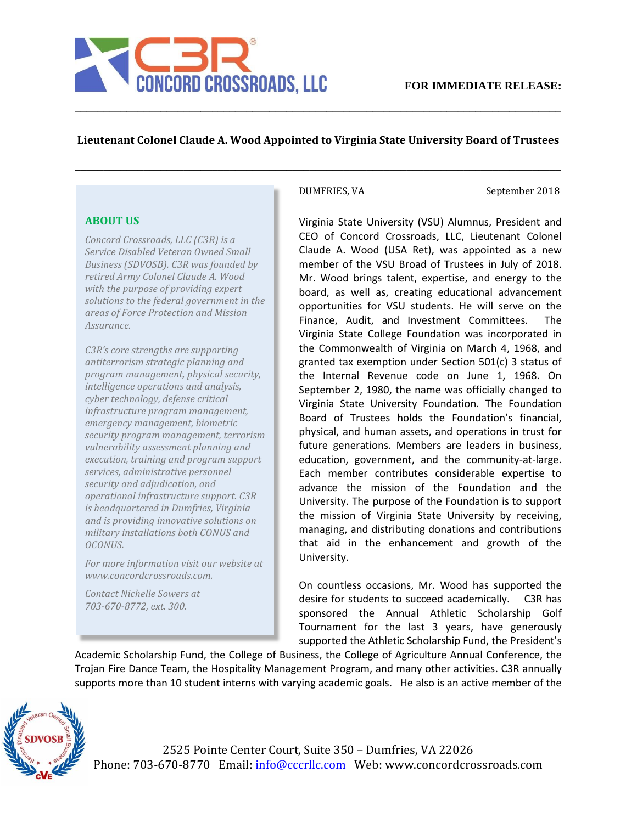

## **Lieutenant Colonel Claude A. Wood Appointed to Virginia State University Board of Trustees**

**\_\_\_\_\_\_\_\_\_\_\_\_\_\_\_\_\_\_\_\_\_\_\_\_\_\_\_\_\_\_\_\_\_\_\_\_\_\_\_\_\_\_\_\_\_\_\_\_\_\_\_\_\_\_\_\_\_\_\_\_\_\_\_\_\_\_\_\_\_\_\_\_\_\_\_\_\_\_\_\_\_\_\_\_\_**

**\_\_\_\_\_\_\_\_\_\_\_\_\_\_\_\_\_\_\_\_\_\_\_\_\_\_\_\_\_\_\_\_\_\_\_\_\_\_\_\_\_\_\_\_\_\_\_\_\_\_\_\_\_\_\_\_\_\_\_\_\_\_\_\_\_\_\_\_\_\_\_\_\_\_\_\_\_\_\_\_\_\_\_\_\_**

## **ABOUT US**

*Concord Crossroads, LLC (C3R) is a Service Disabled Veteran Owned Small Business (SDVOSB). C3R was founded by retired Army Colonel Claude A. Wood with the purpose of providing expert solutions to the federal government in the areas of Force Protection and Mission Assurance.* 

*C3R's core strengths are supporting antiterrorism strategic planning and program management, physical security, intelligence operations and analysis, cyber technology, defense critical infrastructure program management, emergency management, biometric security program management, terrorism vulnerability assessment planning and execution, training and program support services, administrative personnel security and adjudication, and operational infrastructure support. C3R is headquartered in Dumfries, Virginia and is providing innovative solutions on military installations both CONUS and OCONUS.* 

*For more information visit our website at www.concordcrossroads.com.* 

*Contact Nichelle Sowers at 703-670-8772, ext. 300.*

DUMFRIES, VA September 2018

Virginia State University (VSU) Alumnus, President and CEO of Concord Crossroads, LLC, Lieutenant Colonel Claude A. Wood (USA Ret), was appointed as a new member of the VSU Broad of Trustees in July of 2018. Mr. Wood brings talent, expertise, and energy to the board, as well as, creating educational advancement opportunities for VSU students. He will serve on the Finance, Audit, and Investment Committees. The Virginia State College Foundation was incorporated in the Commonwealth of Virginia on March 4, 1968, and granted tax exemption under Section 501(c) 3 status of the Internal Revenue code on June 1, 1968. On September 2, 1980, the name was officially changed to Virginia State University Foundation. The Foundation Board of Trustees holds the Foundation's financial, physical, and human assets, and operations in trust for future generations. Members are leaders in business, education, government, and the community-at-large. Each member contributes considerable expertise to advance the mission of the Foundation and the University. The purpose of the Foundation is to support the mission of Virginia State University by receiving, managing, and distributing donations and contributions that aid in the enhancement and growth of the University.

On countless occasions, Mr. Wood has supported the desire for students to succeed academically. C3R has sponsored the Annual Athletic Scholarship Golf Tournament for the last 3 years, have generously supported the Athletic Scholarship Fund, the President's

Academic Scholarship Fund, the College of Business, the College of Agriculture Annual Conference, the Trojan Fire Dance Team, the Hospitality Management Program, and many other activities. C3R annually supports more than 10 student interns with varying academic goals. He also is an active member of the



2525 Pointe Center Court, Suite 350 – Dumfries, VA 22026 Phone: 703-670-8770 Email: info@cccrllc.com Web: www.concordcrossroads.com